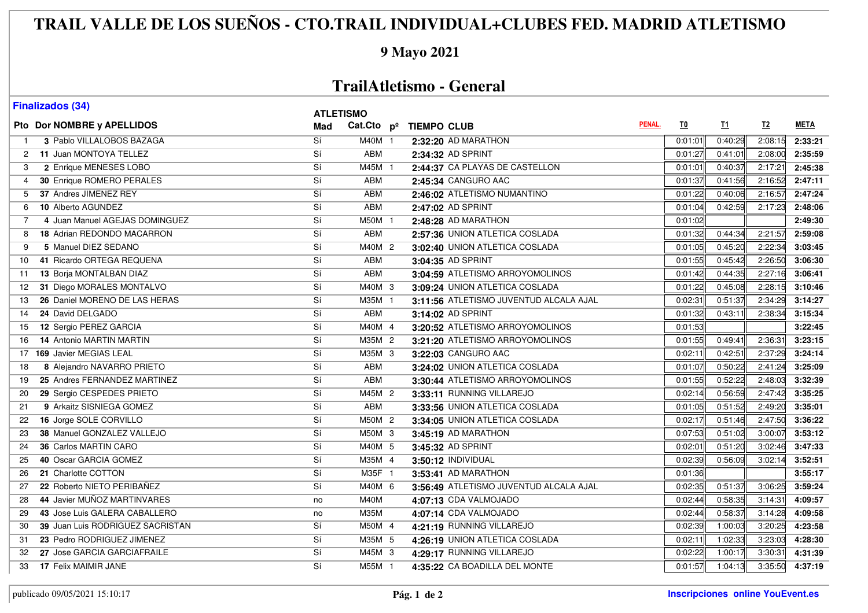# **TRAIL VALLE DE LOS SUEÑOS - CTO.TRAIL INDIVIDUAL+CLUBES FED. MADRID ATLETISMO**

#### **9 Mayo 2021**

### **TrailAtletismo - General**

| <b>Finalizados (34)</b>                     | <b>ATLETISMO</b> |            |                                        |        |                           |         |         |                   |
|---------------------------------------------|------------------|------------|----------------------------------------|--------|---------------------------|---------|---------|-------------------|
| Pto Dor NOMBRE y APELLIDOS                  | Mad              |            | Cat.Cto pº TIEMPO CLUB                 | PENAL. | $\underline{\mathbf{I0}}$ | I1      | $12$    | <b>META</b>       |
| 3 Pablo VILLALOBOS BAZAGA                   | $\overline{Si}$  | M40M 1     | 2:32:20 AD MARATHON                    |        | 0:01:01                   | 0:40:29 | 2:08:15 | 2:33:21           |
| 2 11 Juan MONTOYA TELLEZ                    | $\overline{Si}$  | <b>ABM</b> | 2:34:32 AD SPRINT                      |        | 0:01:27                   | 0:41:01 | 2:08:00 | 2:35:59           |
| 2 Enrique MENESES LOBO<br>3                 | Si               | M45M 1     | 2:44:37 CA PLAYAS DE CASTELLON         |        | 0:01:01                   | 0:40:37 | 2:17:21 | 2:45:38           |
| 30 Enrique ROMERO PERALES<br>$\overline{4}$ | Sí               | <b>ABM</b> | 2:45:34 CANGURO AAC                    |        | 0:01:37                   | 0:41:56 | 2:16:52 | 2:47:11           |
| 37 Andres JIMENEZ REY<br>5                  | Sí               | ABM        | 2:46:02 ATLETISMO NUMANTINO            |        | 0:01:22                   | 0:40:06 | 2:16:57 | 2:47:24           |
| 10 Alberto AGUNDEZ<br>6                     | Sí               | ABM        | 2:47:02 AD SPRINT                      |        | 0:01:04                   | 0:42:59 | 2:17:23 | 2:48:06           |
| 4 Juan Manuel AGEJAS DOMINGUEZ<br>7         | Si               | M50M 1     | 2:48:28 AD MARATHON                    |        | 0:01:02                   |         |         | 2:49:30           |
| <b>18 Adrian REDONDO MACARRON</b><br>8      | Sí               | <b>ABM</b> | 2:57:36 UNION ATLETICA COSLADA         |        | 0:01:32                   | 0:44:34 | 2:21:57 | 2:59:08           |
| 5 Manuel DIEZ SEDANO<br>9                   | $\overline{Si}$  | M40M 2     | 3:02:40 UNION ATLETICA COSLADA         |        | 0:01:05                   | 0:45:20 | 2:22:34 | 3:03:45           |
| 41 Ricardo ORTEGA REQUENA<br>10             | Si               | ABM        | 3:04:35 AD SPRINT                      |        | 0:01:55                   | 0:45:42 | 2:26:50 | 3:06:30           |
| 13 Borja MONTALBAN DIAZ<br>11               | Sí               | <b>ABM</b> | 3:04:59 ATLETISMO ARROYOMOLINOS        |        | 0:01:42                   | 0:44:35 | 2:27:16 | 3:06:41           |
| 31 Diego MORALES MONTALVO<br>12             | Sí               | M40M 3     | 3:09:24 UNION ATLETICA COSLADA         |        | 0:01:22                   | 0:45:08 | 2:28:15 | 3:10:46           |
| 26 Daniel MORENO DE LAS HERAS<br>13         | Sí               | M35M 1     | 3:11:56 ATLETISMO JUVENTUD ALCALA AJAL |        | 0:02:31                   | 0:51:37 | 2:34:29 | 3:14:27           |
| 24 David DELGADO<br>14                      | Sí               | <b>ABM</b> | 3:14:02 AD SPRINT                      |        | 0:01:32                   | 0:43:11 | 2:38:34 | 3:15:34           |
| 12 Sergio PEREZ GARCIA<br>15                | Si               | M40M 4     | 3:20:52 ATLETISMO ARROYOMOLINOS        |        | 0:01:53                   |         |         | 3:22:45           |
| <b>14 Antonio MARTIN MARTIN</b><br>16       | Sí               | M35M 2     | 3:21:20 ATLETISMO ARROYOMOLINOS        |        | 0:01:55                   | 0:49:41 | 2:36:31 | 3:23:15           |
| 17 169 Javier MEGIAS LEAL                   | Sí               | M35M 3     | 3:22:03 CANGURO AAC                    |        | 0:02:11                   | 0:42:51 | 2:37:29 | 3:24:14           |
| 8 Alejandro NAVARRO PRIETO<br>18            | Sí               | <b>ABM</b> | 3:24:02 UNION ATLETICA COSLADA         |        | 0:01:07                   | 0:50:22 | 2:41:24 | 3:25:09           |
| 25 Andres FERNANDEZ MARTINEZ<br>19          | Si               | ABM        | 3:30:44 ATLETISMO ARROYOMOLINOS        |        | 0:01:55                   | 0:52:22 | 2:48:03 | 3:32:39           |
| 29 Sergio CESPEDES PRIETO<br>20             | Sí               | M45M 2     | 3:33:11 RUNNING VILLAREJO              |        | 0:02:14                   | 0:56:59 | 2:47:42 | 3:35:25           |
| 9 Arkaitz SISNIEGA GOMEZ<br>21              | $\overline{Si}$  | <b>ABM</b> | 3:33:56 UNION ATLETICA COSLADA         |        | 0:01:05                   | 0:51:52 | 2:49:20 | 3:35:01           |
| 16 Jorge SOLE CORVILLO<br>22                | Si               | M50M 2     | 3:34:05 UNION ATLETICA COSLADA         |        | 0:02:17                   | 0:51:46 | 2:47:50 | 3:36:22           |
| 38 Manuel GONZALEZ VALLEJO<br>23            | Si               | $M50M$ 3   | 3:45:19 AD MARATHON                    |        | 0:07:53                   | 0:51:02 | 3:00:07 | 3:53:12           |
| 36 Carlos MARTIN CARO<br>24                 | $\overline{Si}$  | M40M 5     | 3:45:32 AD SPRINT                      |        | 0:02:01                   | 0:51:20 | 3:02:46 | 3:47:33           |
| 40 Oscar GARCIA GOMEZ<br>25                 | Sí               | M35M 4     | 3:50:12 INDIVIDUAL                     |        | 0:02:39                   | 0:56:09 | 3:02:14 | 3:52:51           |
| 21 Charlotte COTTON<br>26                   | Sí               | M35F 1     | 3:53:41 AD MARATHON                    |        | 0:01:36                   |         |         | 3:55:17           |
| 22 Roberto NIETO PERIBAÑEZ<br>27            | Sí               | M40M 6     | 3:56:49 ATLETISMO JUVENTUD ALCALA AJAL |        | 0:02:35                   | 0:51:37 | 3:06:25 | 3:59:24           |
| 44 Javier MUÑOZ MARTINVARES<br>28           | no               | M40M       | 4:07:13 CDA VALMOJADO                  |        | 0:02:44                   | 0:58:35 | 3:14:31 | 4:09:57           |
| 43 Jose Luis GALERA CABALLERO<br>29         | no               | M35M       | 4:07:14 CDA VALMOJADO                  |        | 0:02:44                   | 0:58:37 | 3:14:28 | 4:09:58           |
| 39 Juan Luis RODRIGUEZ SACRISTAN<br>30      | Sí               | M50M 4     | 4:21:19 RUNNING VILLAREJO              |        | 0:02:39                   | 1:00:03 | 3:20:25 | 4:23:58           |
| 23 Pedro RODRIGUEZ JIMENEZ<br>31            | Si               | M35M 5     | 4:26:19 UNION ATLETICA COSLADA         |        | 0:02:11                   | 1:02:33 | 3:23:03 | 4:28:30           |
| 27 Jose GARCIA GARCIAFRAILE<br>32           | Sí               | M45M 3     | 4:29:17 RUNNING VILLAREJO              |        | 0:02:22                   | 1:00:17 | 3:30:31 | 4:31:39           |
| 17 Felix MAIMIR JANE<br>33                  | Sí               | M55M 1     | 4:35:22 CA BOADILLA DEL MONTE          |        | 0:01:57                   | 1:04:13 |         | $3:35:50$ 4:37:19 |